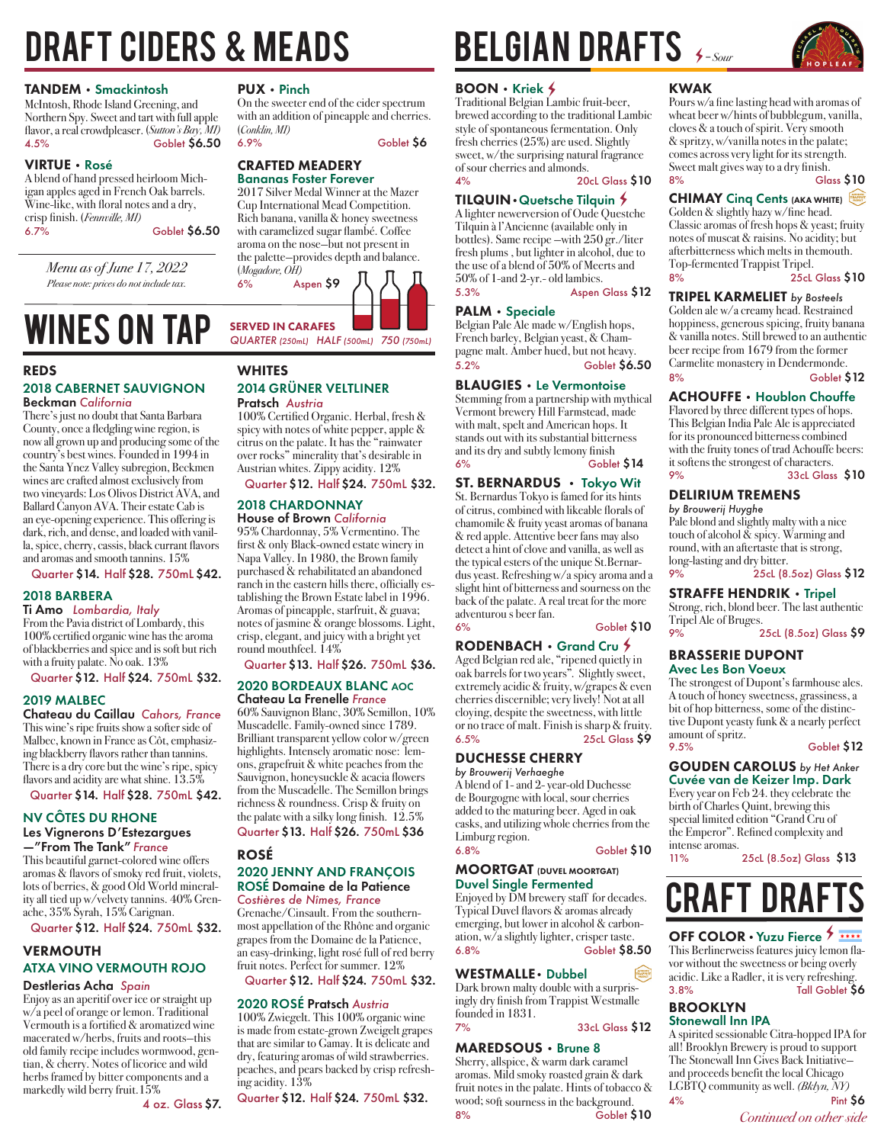# DRAFT CIDERS & MEADS

### TANDEM • Smackintosh

McIntosh, Rhode Island Greening, and Northern Spy. Sweet and tart with full apple flavor, a real crowdpleaser. (*Sutton's Bay, MI)*  4.5% Goblet \$6.50

VIRTUE • Rosé A blend of hand pressed heirloom Michigan apples aged in French Oak barrels. Wine-like, with floral notes and a dry, crisp finish. (*Fennville, MI)* 6.7% Goblet \$6.50

> *Menu as of June 17, 2022 Please note: prices do not include tax.*

## WINES ON TAP SERVED IN CARAFES **WINES ON TAP**

### REDS

### 2018 CABERNET SAUVIGNON Beckman *California*

There's just no doubt that Santa Barbara County, once a fledgling wine region, is now all grown up and producing some of the country's best wines. Founded in 1994 in the Santa Ynez Valley subregion, Beckmen wines are crafted almost exclusively from two vineyards: Los Olivos District AVA, and Ballard Canyon AVA. Their estate Cab is an eye-opening experience. This offering is dark, rich, and dense, and loaded with vanilla, spice, cherry, cassis, black currant flavors and aromas and smooth tannins. 15%

Quarter \$14. Half \$28. 750mL \$42.

### 2018 BARBERA

Ti Amo *Lombardia, Italy* From the Pavia district of Lombardy, this 100% certified organic wine has the aroma of blackberries and spice and is soft but rich with a fruity palate. No oak. 13%

Quarter \$12. Half \$24. 750mL \$32.

### 2019 MALBEC

Chateau du Caillau *Cahors, France* This wine's ripe fruits show a softer side of Malbec, known in France as Côt, emphasizing blackberry flavors rather than tannins. There is a dry core but the wine's ripe, spicy flavors and acidity are what shine. 13.5% Quarter \$14. Half \$28. 750mL \$42.

### NV CÔTES DU RHONE Les Vignerons D'Estezargues —"From The Tank" *France*

This beautiful garnet-colored wine offers aromas & flavors of smoky red fruit, violets, lots of berries, & good Old World minerality all tied up w/velvety tannins. 40% Grenache, 35% Syrah, 15% Carignan.

Quarter \$12. Half \$24. 750mL \$32.

### VERMOUTH ATXA VINO VERMOUTH ROJO

### Destlerias Acha *Spain*

Enjoy as an aperitif over ice or straight up w/a peel of orange or lemon. Traditional Vermouth is a fortified & aromatized wine macerated w/herbs, fruits and roots—this old family recipe includes wormwood, gentian, & cherry. Notes of licorice and wild herbs framed by bitter components and a markedly wild berry fruit.15%

4 oz. Glass \$7.

PUX • Pinch<br>On the sweeter end of the cider spectrum with an addition of pineapple and cherries. (*Conklin, MI)* 6.9% Goblet \$6

CRAFTED MEADERY

Bananas Foster Forever 2017 Silver Medal Winner at the Mazer

Cup International Mead Competition. Rich banana, vanilla & honey sweetness with caramelized sugar flambé. Coffee aroma on the nose—but not present in the palette—provides depth and balance. (*Mogadore, OH)*



## **WHITES**

### 2014 GRÜNER VELTLINER Pratsch *Austria*

100% Certified Organic. Herbal, fresh & spicy with notes of white pepper, apple & citrus on the palate. It has the "rainwater over rocks" minerality that's desirable in Austrian whites. Zippy acidity. 12%

### Quarter \$12. Half \$24. 750mL \$32.

## 2018 CHARDONNAY

House of Brown *California* 95% Chardonnay, 5% Vermentino. The first & only Black-owned estate winery in Napa Valley. In 1980, the Brown family purchased & rehabilitated an abandoned ranch in the eastern hills there, officially establishing the Brown Estate label in 1996. Aromas of pineapple, starfruit, & guava; notes of jasmine & orange blossoms. Light, crisp, elegant, and juicy with a bright yet round mouthfeel. 14%

Quarter \$13. Half \$26. 750mL \$36.

### 2020 BORDEAUX BLANC AOC Chateau La Frenelle *France*

60% Sauvignon Blanc, 30% Semillon, 10% Muscadelle. Family-owned since 1789. Brilliant transparent yellow color w/green highlights. Intensely aromatic nose: lemons, grapefruit & white peaches from the Sauvignon, honeysuckle & acacia flowers from the Muscadelle. The Semillon brings richness & roundness. Crisp & fruity on the palate with a silky long finish.  $12.5\%$ Quarter \$13. Half \$26. 750mL \$36

### ROSÉ

### 2020 JENNY AND FRANÇOIS ROSÉ Domaine de la Patience

*Costières de Nîmes, France* Grenache/Cinsault. From the southernmost appellation of the Rhône and organic grapes from the Domaine de la Patience, an easy-drinking, light rosé full of red berry fruit notes. Perfect for summer. 12%

Quarter \$12. Half \$24. 750mL \$32.

### 2020 ROSÉ Pratsch *Austria*

100% Zwiegelt. This 100% organic wine is made from estate-grown Zweigelt grapes that are similar to Gamay. It is delicate and dry, featuring aromas of wild strawberries. peaches, and pears backed by crisp refreshing acidity. 13%

Quarter \$12. Half \$24. 750mL \$32.

# BELGIAN DRAFTS  $\epsilon$  = Sour

### $B$ OON  $\cdot$  Kriek  $\angle$

Traditional Belgian Lambic fruit-beer, brewed according to the traditional Lambic style of spontaneous fermentation. Only fresh cherries (25%) are used. Slightly sweet, w/the surprising natural fragrance of sour cherries and almonds.

## 4% 20cL Glass \$10

TILQUIN•Quetsche Tilquin Q A lighter newerversion of Oude Questche Tilquin à l'Ancienne (available only in bottles). Same recipe —with 250 gr./liter fresh plums , but lighter in alcohol, due to the use of a blend of 50% of Meerts and 50% of 1-and 2-yr.- old lambics. 5.3% Aspen Glass \$12

### PALM • Speciale

Belgian Pale Ale made w/English hops, French barley, Belgian yeast, & Champagne malt. Amber hued, but not heavy. 5.2% Goblet \$6.50

### BLAUGIES • Le Vermontoise

Stemming from a partnership with mythical Vermont brewery Hill Farmstead, made with malt, spelt and American hops. It stands out with its substantial bitterness and its dry and subtly lemony finish 6% Goblet \$14

### ST. BERNARDUS •Tokyo Wit

St. Bernardus Tokyo is famed for its hints of citrus, combined with likeable florals of chamomile & fruity yeast aromas of banana & red apple. Attentive beer fans may also detect a hint of clove and vanilla, as well as the typical esters of the unique St.Bernardus yeast. Refreshing w/a spicy aroma and a slight hint of bitterness and sourness on the back of the palate. A real treat for the more adventurou s beer fan.

### 6% Goblet \$10

### RODENBACH • Grand Cru \$

Aged Belgian red ale, "ripened quietly in oak barrels for two years". Slightly sweet, extremely acidic & fruity, w/grapes & even cherries discernible; very lively! Not at all cloying, despite the sweetness, with little or no trace of malt. Finish is sharp & fruity. 6.5% 25cL Glass \$9

### DUCHESSE CHERRY *by Brouwerij Verhaeghe*

A blend of 1- and 2- year-old Duchesse de Bourgogne with local, sour cherries added to the maturing beer. Aged in oak casks, and utilizing whole cherries from the Limburg region. 6.8% Goblet \$10

### **MOORTGAT (DUVEL MOORTGAT)** Duvel Single Fermented

Enjoyed by DM brewery staff for decades. Typical Duvel flavors & aromas already emerging, but lower in alcohol & carbonation, w/a slightly lighter, crisper taste. 6.8% Goblet \$8.50

### WESTMALLE• Dubbel

Dark brown malty double with a surprisingly dry finish from Trappist Westmalle founded in 1831. 7% 33cL Glass \$12

### MAREDSOUS • Brune 8

Sherry, allspice, & warm dark caramel aromas. Mild smoky roasted grain & dark fruit notes in the palate. Hints of tobacco & wood; soft sourness in the background. 8% Goblet \$10

### KWAK

Pours w/a fine lasting head with aromas of wheat beer w/hints of bubblegum, vanilla, cloves & a touch of spirit. Very smooth & spritzy, w/vanilla notes in the palate; comes across very light for its strength. Sweet malt gives way to a dry finish.<br>8% Glass \$10

CHIMAY Cinq Cents (AKA WHITE)

Classic aromas of fresh hops & yeast; fruity notes of muscat & raisins. No acidity; but afterbitterness which melts in themouth. Top-fermented Trappist Tripel. 8% 25cL Glass \$10

### TRIPEL KARMELIET *by Bosteels* Golden ale w/a creamy head. Restrained hoppiness, generous spicing, fruity banana & vanilla notes. Still brewed to an authentic beer recipe from 1679 from the former Carmelite monastery in Dendermonde.

Goblet \$12

### ACHOUFFE • Houblon Chouffe Flavored by three different types of hops. This Belgian India Pale Ale is appreciated for its pronounced bitterness combined with the fruity tones of trad Achouffe beers: it softens the strongest of characters.

9% 33cL Glass \$10 DELIRIUM TREMENS

### *by Brouwerij Huyghe*

Pale blond and slightly malty with a nice touch of alcohol  $\&$  spicy. Warming and round, with an aftertaste that is strong, long-lasting and dry bitter. 9% 25cL (8.5oz) Glass \$12

### STRAFFE HENDRIK • Tripel

Strong, rich, blond beer. The last authentic Tripel Ale of Bruges.

9% 25cL (8.5oz) Glass \$9

### BRASSERIE DUPONT Avec Les Bon Voeux

The strongest of Dupont's farmhouse ales. A touch of honey sweetness, grassiness, a bit of hop bitterness, some of the distinctive Dupont yeasty funk & a nearly perfect amount of spritz.<br>9.5%

Goblet \$12

### GOUDEN CAROLUS *by Het Anker*

Cuvée van de Keizer Imp. Dark Every year on Feb 24. they celebrate the birth of Charles Quint, brewing this special limited edition "Grand Cru of the Emperor". Refined complexity and intense aromas.

11% 25cL (8.5oz) Glass \$13

# **CRAFT DRAFT**

### OFF COLOR · Yuzu Fierce > \*\*\*\*

This Berlinerweiss features juicy lemon flavor without the sweetness or being overly acidic. Like a Radler, it is very refreshing. 3.8% Tall Goblet \$6

### BROOKLYN Stonewall Inn IPA

A spirited sessionable Citra-hopped IPA for all! Brooklyn Brewery is proud to support The Stonewall Inn Gives Back Initiative and proceeds benefit the local Chicago LGBTQ community as well. *(Bklyn, NY)* 4% Pint \$6